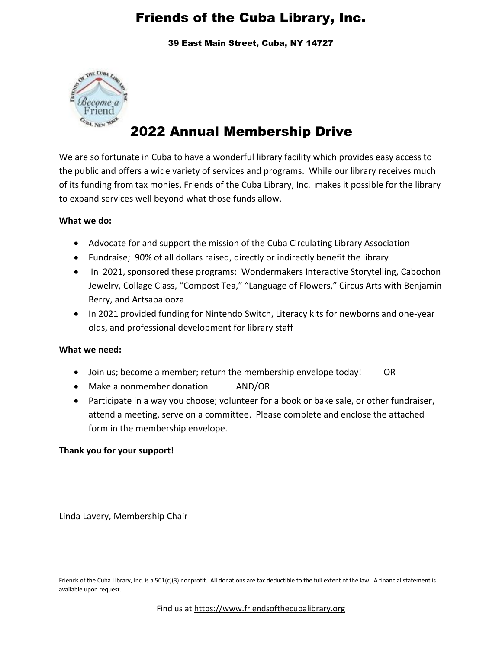39 East Main Street, Cuba, NY 14727



# 2022 Annual Membership Drive

We are so fortunate in Cuba to have a wonderful library facility which provides easy access to the public and offers a wide variety of services and programs. While our library receives much of its funding from tax monies, Friends of the Cuba Library, Inc. makes it possible for the library to expand services well beyond what those funds allow.

### **What we do:**

- Advocate for and support the mission of the Cuba Circulating Library Association
- Fundraise; 90% of all dollars raised, directly or indirectly benefit the library
- In 2021, sponsored these programs: Wondermakers Interactive Storytelling, Cabochon Jewelry, Collage Class, "Compost Tea," "Language of Flowers," Circus Arts with Benjamin Berry, and Artsapalooza
- In 2021 provided funding for Nintendo Switch, Literacy kits for newborns and one-year olds, and professional development for library staff

### **What we need:**

- Join us; become a member; return the membership envelope today! OR
- Make a nonmember donation AND/OR
- Participate in a way you choose; volunteer for a book or bake sale, or other fundraiser, attend a meeting, serve on a committee. Please complete and enclose the attached form in the membership envelope.

### **Thank you for your support!**

Linda Lavery, Membership Chair

Friends of the Cuba Library, Inc. is a 501(c)(3) nonprofit. All donations are tax deductible to the full extent of the law. A financial statement is available upon request.

Find us at [https://www.friendsofthecubalibrary.org](https://www.friendsofthecubalibrary.org/)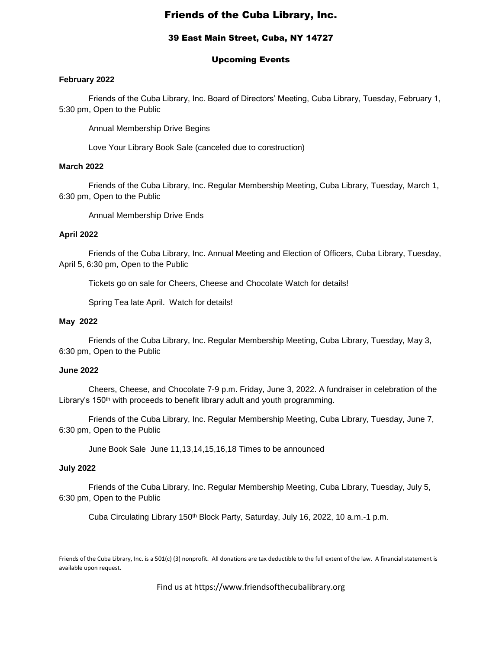#### 39 East Main Street, Cuba, NY 14727

#### Upcoming Events

#### **February 2022**

Friends of the Cuba Library, Inc. Board of Directors' Meeting, Cuba Library, Tuesday, February 1, 5:30 pm, Open to the Public

Annual Membership Drive Begins

Love Your Library Book Sale (canceled due to construction)

#### **March 2022**

Friends of the Cuba Library, Inc. Regular Membership Meeting, Cuba Library, Tuesday, March 1, 6:30 pm, Open to the Public

Annual Membership Drive Ends

#### **April 2022**

Friends of the Cuba Library, Inc. Annual Meeting and Election of Officers, Cuba Library, Tuesday, April 5, 6:30 pm, Open to the Public

Tickets go on sale for Cheers, Cheese and Chocolate Watch for details!

Spring Tea late April. Watch for details!

#### **May 2022**

Friends of the Cuba Library, Inc. Regular Membership Meeting, Cuba Library, Tuesday, May 3, 6:30 pm, Open to the Public

#### **June 2022**

Cheers, Cheese, and Chocolate 7-9 p.m. Friday, June 3, 2022. A fundraiser in celebration of the Library's 150<sup>th</sup> with proceeds to benefit library adult and youth programming.

Friends of the Cuba Library, Inc. Regular Membership Meeting, Cuba Library, Tuesday, June 7, 6:30 pm, Open to the Public

June Book Sale June 11,13,14,15,16,18 Times to be announced

#### **July 2022**

Friends of the Cuba Library, Inc. Regular Membership Meeting, Cuba Library, Tuesday, July 5, 6:30 pm, Open to the Public

Cuba Circulating Library 150<sup>th</sup> Block Party, Saturday, July 16, 2022, 10 a.m.-1 p.m.

Friends of the Cuba Library, Inc. is a 501(c) (3) nonprofit. All donations are tax deductible to the full extent of the law. A financial statement is available upon request.

Find us at https://www.friendsofthecubalibrary.org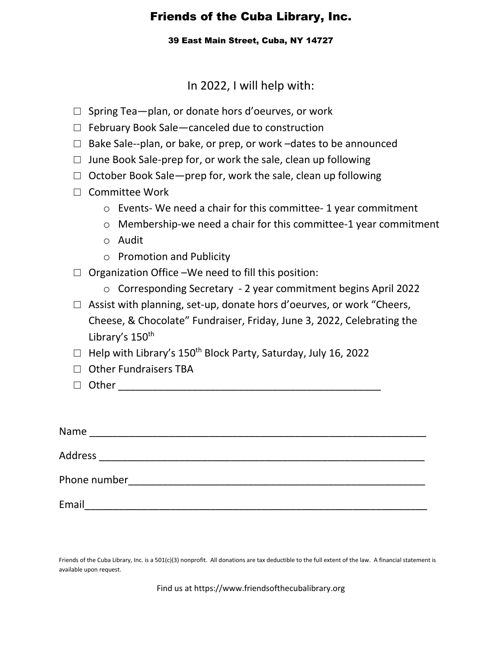39 East Main Street, Cuba, NY 14727

In 2022, I will help with:

- $\Box$  Spring Tea—plan, or donate hors d'oeurves, or work
- □ February Book Sale—canceled due to construction
- $\Box$  Bake Sale--plan, or bake, or prep, or work -dates to be announced
- $\Box$  June Book Sale-prep for, or work the sale, clean up following
- $\Box$  October Book Sale-prep for, work the sale, clean up following
- □ Committee Work
	- o Events- We need a chair for this committee- 1 year commitment
	- o Membership-we need a chair for this committee-1 year commitment
	- o Audit
	- o Promotion and Publicity
- $\Box$  Organization Office –We need to fill this position:
	- o Corresponding Secretary 2 year commitment begins April 2022
- □ Assist with planning, set-up, donate hors d'oeurves, or work "Cheers, Cheese, & Chocolate" Fundraiser, Friday, June 3, 2022, Celebrating the Library's 150<sup>th</sup>
- □ Help with Library's 150th Block Party, Saturday, July 16, 2022
- □ Other Fundraisers TBA
- $\Box$  Other

| Name         |  |  |
|--------------|--|--|
| Address      |  |  |
| Phone number |  |  |
| Email        |  |  |

Friends of the Cuba Library, Inc. is a 501(c)(3) nonprofit. All donations are tax deductible to the full extent of the law. A financial statement is available upon request.

Find us at https://www.friendsofthecubalibrary.org